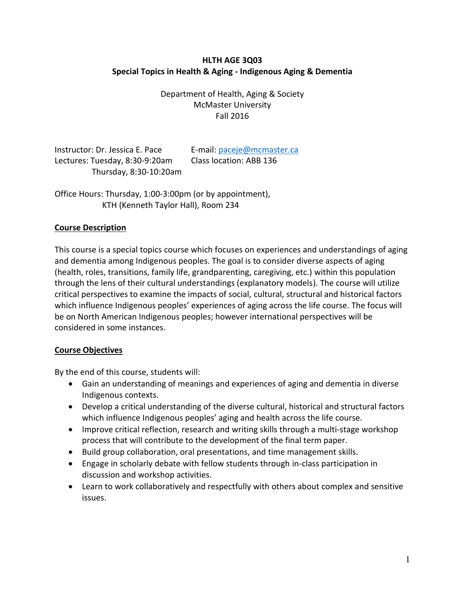# **HLTH AGE 3Q03 Special Topics in Health & Aging - Indigenous Aging & Dementia**

Department of Health, Aging & Society McMaster University Fall 2016

Instructor: Dr. Jessica E. Pace E-mail[: paceje@mcmaster.ca](mailto:paceje@mcmaster.ca) Lectures: Tuesday, 8:30-9:20am Class location: ABB 136 Thursday, 8:30-10:20am

Office Hours: Thursday, 1:00-3:00pm (or by appointment), KTH (Kenneth Taylor Hall), Room 234

# **Course Description**

This course is a special topics course which focuses on experiences and understandings of aging and dementia among Indigenous peoples. The goal is to consider diverse aspects of aging (health, roles, transitions, family life, grandparenting, caregiving, etc.) within this population through the lens of their cultural understandings (explanatory models). The course will utilize critical perspectives to examine the impacts of social, cultural, structural and historical factors which influence Indigenous peoples' experiences of aging across the life course. The focus will be on North American Indigenous peoples; however international perspectives will be considered in some instances.

### **Course Objectives**

By the end of this course, students will:

- Gain an understanding of meanings and experiences of aging and dementia in diverse Indigenous contexts.
- Develop a critical understanding of the diverse cultural, historical and structural factors which influence Indigenous peoples' aging and health across the life course.
- Improve critical reflection, research and writing skills through a multi-stage workshop process that will contribute to the development of the final term paper.
- Build group collaboration, oral presentations, and time management skills.
- Engage in scholarly debate with fellow students through in-class participation in discussion and workshop activities.
- Learn to work collaboratively and respectfully with others about complex and sensitive issues.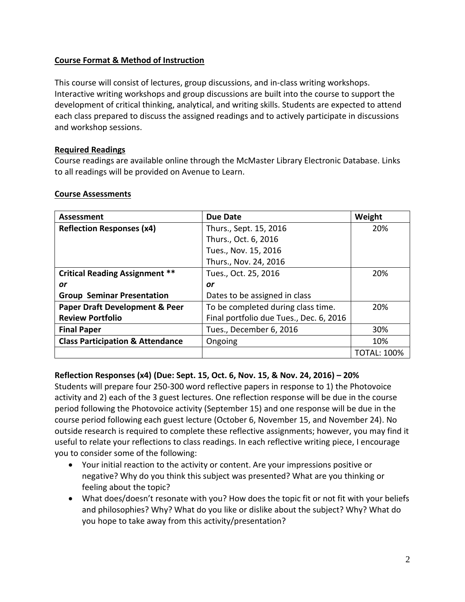# **Course Format & Method of Instruction**

This course will consist of lectures, group discussions, and in-class writing workshops. Interactive writing workshops and group discussions are built into the course to support the development of critical thinking, analytical, and writing skills. Students are expected to attend each class prepared to discuss the assigned readings and to actively participate in discussions and workshop sessions.

### **Required Readings**

Course readings are available online through the McMaster Library Electronic Database. Links to all readings will be provided on Avenue to Learn.

| Assessment                                  | Due Date                                | Weight             |
|---------------------------------------------|-----------------------------------------|--------------------|
| <b>Reflection Responses (x4)</b>            | Thurs., Sept. 15, 2016                  | 20%                |
|                                             | Thurs., Oct. 6, 2016                    |                    |
|                                             | Tues., Nov. 15, 2016                    |                    |
|                                             | Thurs., Nov. 24, 2016                   |                    |
| <b>Critical Reading Assignment **</b>       | Tues., Oct. 25, 2016                    | 20%                |
| or                                          | or                                      |                    |
| <b>Group Seminar Presentation</b>           | Dates to be assigned in class           |                    |
| <b>Paper Draft Development &amp; Peer</b>   | To be completed during class time.      | 20%                |
| <b>Review Portfolio</b>                     | Final portfolio due Tues., Dec. 6, 2016 |                    |
| <b>Final Paper</b>                          | Tues., December 6, 2016                 | 30%                |
| <b>Class Participation &amp; Attendance</b> | Ongoing                                 | 10%                |
|                                             |                                         | <b>TOTAL: 100%</b> |

### **Course Assessments**

### **Reflection Responses (x4) (Due: Sept. 15, Oct. 6, Nov. 15, & Nov. 24, 2016) – 20%**

Students will prepare four 250-300 word reflective papers in response to 1) the Photovoice activity and 2) each of the 3 guest lectures. One reflection response will be due in the course period following the Photovoice activity (September 15) and one response will be due in the course period following each guest lecture (October 6, November 15, and November 24). No outside research is required to complete these reflective assignments; however, you may find it useful to relate your reflections to class readings. In each reflective writing piece, I encourage you to consider some of the following:

- Your initial reaction to the activity or content. Are your impressions positive or negative? Why do you think this subject was presented? What are you thinking or feeling about the topic?
- What does/doesn't resonate with you? How does the topic fit or not fit with your beliefs and philosophies? Why? What do you like or dislike about the subject? Why? What do you hope to take away from this activity/presentation?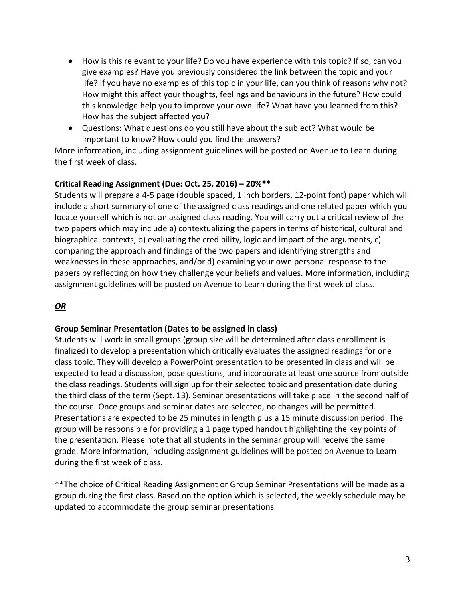- How is this relevant to your life? Do you have experience with this topic? If so, can you give examples? Have you previously considered the link between the topic and your life? If you have no examples of this topic in your life, can you think of reasons why not? How might this affect your thoughts, feelings and behaviours in the future? How could this knowledge help you to improve your own life? What have you learned from this? How has the subject affected you?
- Questions: What questions do you still have about the subject? What would be important to know? How could you find the answers?

More information, including assignment guidelines will be posted on Avenue to Learn during the first week of class.

### **Critical Reading Assignment (Due: Oct. 25, 2016) – 20%\*\***

Students will prepare a 4-5 page (double spaced, 1 inch borders, 12-point font) paper which will include a short summary of one of the assigned class readings and one related paper which you locate yourself which is not an assigned class reading. You will carry out a critical review of the two papers which may include a) contextualizing the papers in terms of historical, cultural and biographical contexts, b) evaluating the credibility, logic and impact of the arguments, c) comparing the approach and findings of the two papers and identifying strengths and weaknesses in these approaches, and/or d) examining your own personal response to the papers by reflecting on how they challenge your beliefs and values. More information, including assignment guidelines will be posted on Avenue to Learn during the first week of class.

### *OR*

### **Group Seminar Presentation (Dates to be assigned in class)**

Students will work in small groups (group size will be determined after class enrollment is finalized) to develop a presentation which critically evaluates the assigned readings for one class topic. They will develop a PowerPoint presentation to be presented in class and will be expected to lead a discussion, pose questions, and incorporate at least one source from outside the class readings. Students will sign up for their selected topic and presentation date during the third class of the term (Sept. 13). Seminar presentations will take place in the second half of the course. Once groups and seminar dates are selected, no changes will be permitted. Presentations are expected to be 25 minutes in length plus a 15 minute discussion period. The group will be responsible for providing a 1 page typed handout highlighting the key points of the presentation. Please note that all students in the seminar group will receive the same grade. More information, including assignment guidelines will be posted on Avenue to Learn during the first week of class.

\*\*The choice of Critical Reading Assignment or Group Seminar Presentations will be made as a group during the first class. Based on the option which is selected, the weekly schedule may be updated to accommodate the group seminar presentations.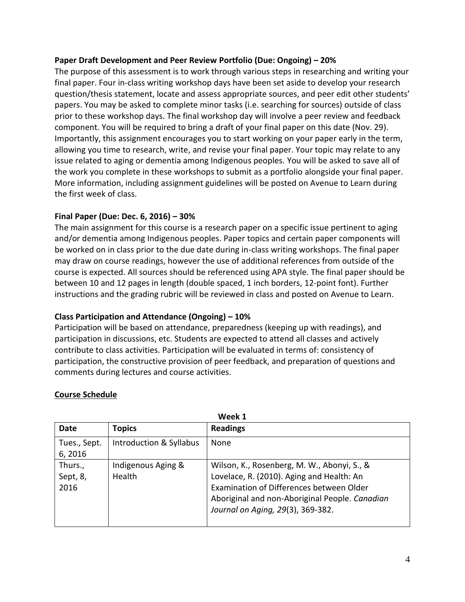### **Paper Draft Development and Peer Review Portfolio (Due: Ongoing) – 20%**

The purpose of this assessment is to work through various steps in researching and writing your final paper. Four in-class writing workshop days have been set aside to develop your research question/thesis statement, locate and assess appropriate sources, and peer edit other students' papers. You may be asked to complete minor tasks (i.e. searching for sources) outside of class prior to these workshop days. The final workshop day will involve a peer review and feedback component. You will be required to bring a draft of your final paper on this date (Nov. 29). Importantly, this assignment encourages you to start working on your paper early in the term, allowing you time to research, write, and revise your final paper. Your topic may relate to any issue related to aging or dementia among Indigenous peoples. You will be asked to save all of the work you complete in these workshops to submit as a portfolio alongside your final paper. More information, including assignment guidelines will be posted on Avenue to Learn during the first week of class.

### **Final Paper (Due: Dec. 6, 2016) – 30%**

The main assignment for this course is a research paper on a specific issue pertinent to aging and/or dementia among Indigenous peoples. Paper topics and certain paper components will be worked on in class prior to the due date during in-class writing workshops. The final paper may draw on course readings, however the use of additional references from outside of the course is expected. All sources should be referenced using APA style. The final paper should be between 10 and 12 pages in length (double spaced, 1 inch borders, 12-point font). Further instructions and the grading rubric will be reviewed in class and posted on Avenue to Learn.

### **Class Participation and Attendance (Ongoing) – 10%**

Participation will be based on attendance, preparedness (keeping up with readings), and participation in discussions, etc. Students are expected to attend all classes and actively contribute to class activities. Participation will be evaluated in terms of: consistency of participation, the constructive provision of peer feedback, and preparation of questions and comments during lectures and course activities.

| <b>Date</b>                 | <b>Topics</b>                | <b>Readings</b>                                                                                                                                                                                                             |
|-----------------------------|------------------------------|-----------------------------------------------------------------------------------------------------------------------------------------------------------------------------------------------------------------------------|
| Tues., Sept.<br>6, 2016     | Introduction & Syllabus      | <b>None</b>                                                                                                                                                                                                                 |
| Thurs.,<br>Sept, 8,<br>2016 | Indigenous Aging &<br>Health | Wilson, K., Rosenberg, M. W., Abonyi, S., &<br>Lovelace, R. (2010). Aging and Health: An<br>Examination of Differences between Older<br>Aboriginal and non-Aboriginal People. Canadian<br>Journal on Aging, 29(3), 369-382. |

**Week 11, 1997** 

**Course Schedule**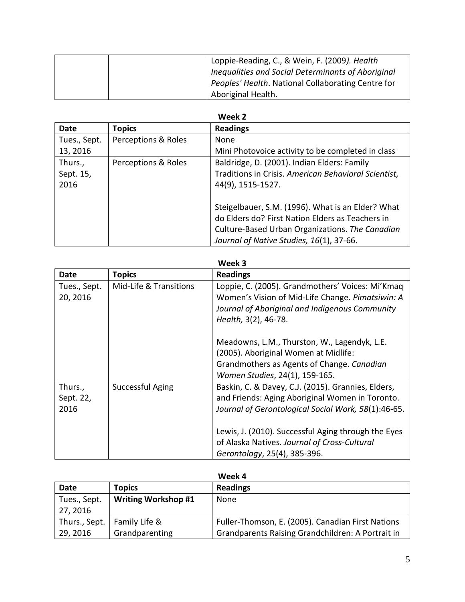| Loppie-Reading, C., & Wein, F. (2009). Health      |  |
|----------------------------------------------------|--|
| Inequalities and Social Determinants of Aboriginal |  |
| Peoples' Health. National Collaborating Centre for |  |
| Aboriginal Health.                                 |  |

| Date         | <b>Topics</b>       | <b>Readings</b>                                                                                                                                                                                      |
|--------------|---------------------|------------------------------------------------------------------------------------------------------------------------------------------------------------------------------------------------------|
| Tues., Sept. | Perceptions & Roles | None                                                                                                                                                                                                 |
| 13, 2016     |                     | Mini Photovoice activity to be completed in class                                                                                                                                                    |
| Thurs.,      | Perceptions & Roles | Baldridge, D. (2001). Indian Elders: Family                                                                                                                                                          |
| Sept. 15,    |                     | Traditions in Crisis. American Behavioral Scientist,                                                                                                                                                 |
| 2016         |                     | 44(9), 1515-1527.                                                                                                                                                                                    |
|              |                     | Steigelbauer, S.M. (1996). What is an Elder? What<br>do Elders do? First Nation Elders as Teachers in<br>Culture-Based Urban Organizations. The Canadian<br>Journal of Native Studies, 16(1), 37-66. |

### **Week 3**

| Date                         | <b>Topics</b>          | <b>Readings</b>                                                                                                                                                                |
|------------------------------|------------------------|--------------------------------------------------------------------------------------------------------------------------------------------------------------------------------|
| Tues., Sept.<br>20, 2016     | Mid-Life & Transitions | Loppie, C. (2005). Grandmothers' Voices: Mi'Kmaq<br>Women's Vision of Mid-Life Change. Pimatsiwin: A<br>Journal of Aboriginal and Indigenous Community<br>Health, 3(2), 46-78. |
|                              |                        | Meadowns, L.M., Thurston, W., Lagendyk, L.E.<br>(2005). Aboriginal Women at Midlife:<br>Grandmothers as Agents of Change. Canadian<br>Women Studies, 24(1), 159-165.           |
| Thurs.,<br>Sept. 22,<br>2016 | Successful Aging       | Baskin, C. & Davey, C.J. (2015). Grannies, Elders,<br>and Friends: Aging Aboriginal Women in Toronto.<br>Journal of Gerontological Social Work, 58(1):46-65.                   |
|                              |                        | Lewis, J. (2010). Successful Aging through the Eyes<br>of Alaska Natives. Journal of Cross-Cultural<br>Gerontology, 25(4), 385-396.                                            |

| Week 4                   |                               |                                                   |
|--------------------------|-------------------------------|---------------------------------------------------|
| Date                     | <b>Topics</b>                 | <b>Readings</b>                                   |
| Tues., Sept.<br>27, 2016 | <b>Writing Workshop #1</b>    | None                                              |
|                          | Thurs., Sept.   Family Life & | Fuller-Thomson, E. (2005). Canadian First Nations |
| 29, 2016                 | Grandparenting                | Grandparents Raising Grandchildren: A Portrait in |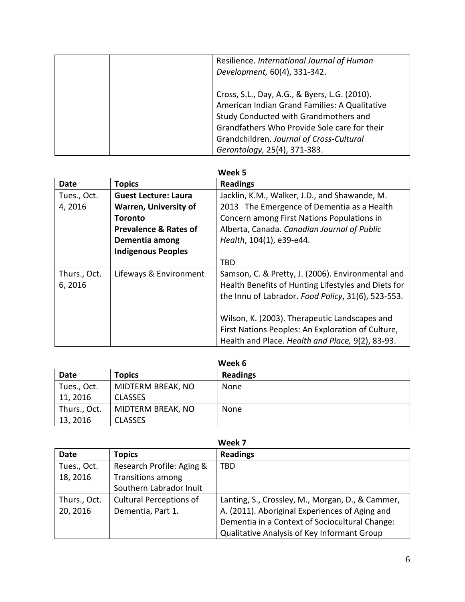|  | Resilience. International Journal of Human<br>Development, 60(4), 331-342.                                                                                                                                                                                          |
|--|---------------------------------------------------------------------------------------------------------------------------------------------------------------------------------------------------------------------------------------------------------------------|
|  | Cross, S.L., Day, A.G., & Byers, L.G. (2010).<br>American Indian Grand Families: A Qualitative<br>Study Conducted with Grandmothers and<br>Grandfathers Who Provide Sole care for their<br>Grandchildren. Journal of Cross-Cultural<br>Gerontology, 25(4), 371-383. |

| <b>Date</b>  | <b>Topics</b>                    | <b>Readings</b>                                     |
|--------------|----------------------------------|-----------------------------------------------------|
| Tues., Oct.  | <b>Guest Lecture: Laura</b>      | Jacklin, K.M., Walker, J.D., and Shawande, M.       |
| 4,2016       | <b>Warren, University of</b>     | 2013 The Emergence of Dementia as a Health          |
|              | Toronto                          | Concern among First Nations Populations in          |
|              | <b>Prevalence &amp; Rates of</b> | Alberta, Canada. Canadian Journal of Public         |
|              | Dementia among                   | Health, 104(1), e39-e44.                            |
|              | <b>Indigenous Peoples</b>        |                                                     |
|              |                                  | <b>TBD</b>                                          |
| Thurs., Oct. | Lifeways & Environment           | Samson, C. & Pretty, J. (2006). Environmental and   |
| 6, 2016      |                                  | Health Benefits of Hunting Lifestyles and Diets for |
|              |                                  | the Innu of Labrador. Food Policy, 31(6), 523-553.  |
|              |                                  |                                                     |
|              |                                  | Wilson, K. (2003). Therapeutic Landscapes and       |
|              |                                  | First Nations Peoples: An Exploration of Culture,   |
|              |                                  | Health and Place. Health and Place, 9(2), 83-93.    |

| Week 6       |                   |                 |
|--------------|-------------------|-----------------|
| <b>Date</b>  | <b>Topics</b>     | <b>Readings</b> |
| Tues., Oct.  | MIDTERM BREAK, NO | None            |
| 11, 2016     | <b>CLASSES</b>    |                 |
| Thurs., Oct. | MIDTERM BREAK, NO | None            |
| 13, 2016     | <b>CLASSES</b>    |                 |

| Week 7       |                                |                                                  |
|--------------|--------------------------------|--------------------------------------------------|
| <b>Date</b>  | <b>Topics</b>                  | <b>Readings</b>                                  |
| Tues., Oct.  | Research Profile: Aging &      | <b>TBD</b>                                       |
| 18, 2016     | <b>Transitions among</b>       |                                                  |
|              | Southern Labrador Inuit        |                                                  |
| Thurs., Oct. | <b>Cultural Perceptions of</b> | Lanting, S., Crossley, M., Morgan, D., & Cammer, |
| 20, 2016     | Dementia, Part 1.              | A. (2011). Aboriginal Experiences of Aging and   |
|              |                                | Dementia in a Context of Sociocultural Change:   |
|              |                                | Qualitative Analysis of Key Informant Group      |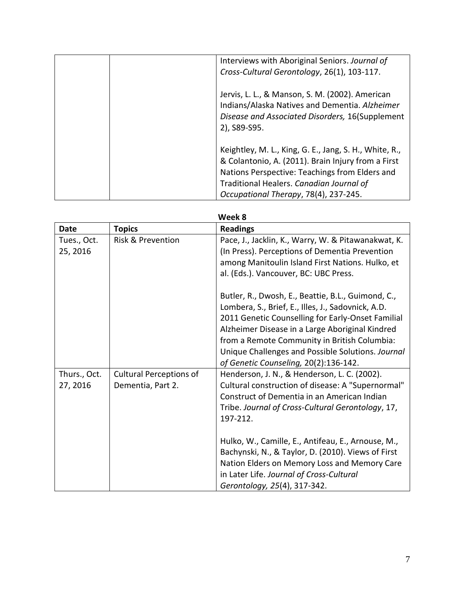| Interviews with Aboriginal Seniors. Journal of<br>Cross-Cultural Gerontology, 26(1), 103-117.                                                                                                                                                       |
|-----------------------------------------------------------------------------------------------------------------------------------------------------------------------------------------------------------------------------------------------------|
| Jervis, L. L., & Manson, S. M. (2002). American<br>Indians/Alaska Natives and Dementia. Alzheimer<br>Disease and Associated Disorders, 16(Supplement<br>2), S89-S95.                                                                                |
| Keightley, M. L., King, G. E., Jang, S. H., White, R.,<br>& Colantonio, A. (2011). Brain Injury from a First<br>Nations Perspective: Teachings from Elders and<br>Traditional Healers. Canadian Journal of<br>Occupational Therapy, 78(4), 237-245. |

| Week 8       |                                |                                                     |
|--------------|--------------------------------|-----------------------------------------------------|
| <b>Date</b>  | <b>Topics</b>                  | <b>Readings</b>                                     |
| Tues., Oct.  | <b>Risk &amp; Prevention</b>   | Pace, J., Jacklin, K., Warry, W. & Pitawanakwat, K. |
| 25, 2016     |                                | (In Press). Perceptions of Dementia Prevention      |
|              |                                | among Manitoulin Island First Nations. Hulko, et    |
|              |                                | al. (Eds.). Vancouver, BC: UBC Press.               |
|              |                                | Butler, R., Dwosh, E., Beattie, B.L., Guimond, C.,  |
|              |                                | Lombera, S., Brief, E., Illes, J., Sadovnick, A.D.  |
|              |                                | 2011 Genetic Counselling for Early-Onset Familial   |
|              |                                | Alzheimer Disease in a Large Aboriginal Kindred     |
|              |                                | from a Remote Community in British Columbia:        |
|              |                                | Unique Challenges and Possible Solutions. Journal   |
|              |                                | of Genetic Counseling, 20(2):136-142.               |
| Thurs., Oct. | <b>Cultural Perceptions of</b> | Henderson, J. N., & Henderson, L. C. (2002).        |
| 27, 2016     | Dementia, Part 2.              | Cultural construction of disease: A "Supernormal"   |
|              |                                | Construct of Dementia in an American Indian         |
|              |                                | Tribe. Journal of Cross-Cultural Gerontology, 17,   |
|              |                                | 197-212.                                            |
|              |                                | Hulko, W., Camille, E., Antifeau, E., Arnouse, M.,  |
|              |                                | Bachynski, N., & Taylor, D. (2010). Views of First  |
|              |                                | Nation Elders on Memory Loss and Memory Care        |
|              |                                | in Later Life. Journal of Cross-Cultural            |
|              |                                | Gerontology, 25(4), 317-342.                        |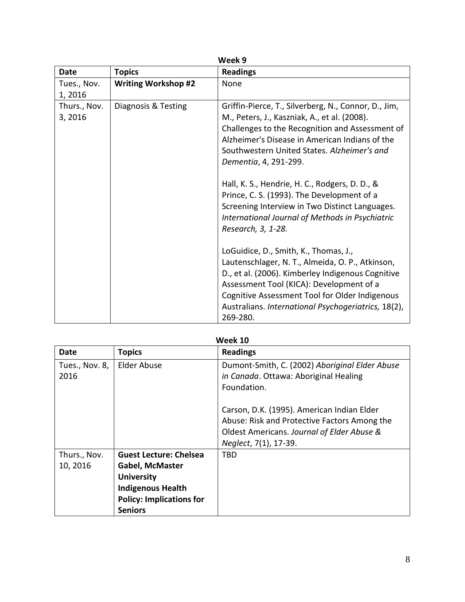| Week 9                 |                            |                                                                                                                                                                                                                                                                                                                                                                                                                                                                                                                                                                                                                                                                                                                                                                                                                                 |  |
|------------------------|----------------------------|---------------------------------------------------------------------------------------------------------------------------------------------------------------------------------------------------------------------------------------------------------------------------------------------------------------------------------------------------------------------------------------------------------------------------------------------------------------------------------------------------------------------------------------------------------------------------------------------------------------------------------------------------------------------------------------------------------------------------------------------------------------------------------------------------------------------------------|--|
| <b>Date</b>            | <b>Topics</b>              | <b>Readings</b>                                                                                                                                                                                                                                                                                                                                                                                                                                                                                                                                                                                                                                                                                                                                                                                                                 |  |
| Tues., Nov.<br>1,2016  | <b>Writing Workshop #2</b> | None                                                                                                                                                                                                                                                                                                                                                                                                                                                                                                                                                                                                                                                                                                                                                                                                                            |  |
| Thurs., Nov.<br>3,2016 | Diagnosis & Testing        | Griffin-Pierce, T., Silverberg, N., Connor, D., Jim,<br>M., Peters, J., Kaszniak, A., et al. (2008).<br>Challenges to the Recognition and Assessment of<br>Alzheimer's Disease in American Indians of the<br>Southwestern United States. Alzheimer's and<br>Dementia, 4, 291-299.<br>Hall, K. S., Hendrie, H. C., Rodgers, D. D., &<br>Prince, C. S. (1993). The Development of a<br>Screening Interview in Two Distinct Languages.<br>International Journal of Methods in Psychiatric<br>Research, 3, 1-28.<br>LoGuidice, D., Smith, K., Thomas, J.,<br>Lautenschlager, N. T., Almeida, O. P., Atkinson,<br>D., et al. (2006). Kimberley Indigenous Cognitive<br>Assessment Tool (KICA): Development of a<br>Cognitive Assessment Tool for Older Indigenous<br>Australians. International Psychogeriatrics, 18(2),<br>269-280. |  |

| Week 10                  |                                                                                                                                                               |                                                                                                                                                                                                                                                    |  |
|--------------------------|---------------------------------------------------------------------------------------------------------------------------------------------------------------|----------------------------------------------------------------------------------------------------------------------------------------------------------------------------------------------------------------------------------------------------|--|
| Date                     | <b>Topics</b>                                                                                                                                                 | <b>Readings</b>                                                                                                                                                                                                                                    |  |
| Tues., Nov. 8,<br>2016   | <b>Elder Abuse</b>                                                                                                                                            | Dumont-Smith, C. (2002) Aboriginal Elder Abuse<br>in Canada. Ottawa: Aboriginal Healing<br>Foundation.<br>Carson, D.K. (1995). American Indian Elder<br>Abuse: Risk and Protective Factors Among the<br>Oldest Americans. Journal of Elder Abuse & |  |
|                          |                                                                                                                                                               | Neglect, 7(1), 17-39.                                                                                                                                                                                                                              |  |
| Thurs., Nov.<br>10, 2016 | <b>Guest Lecture: Chelsea</b><br><b>Gabel, McMaster</b><br><b>University</b><br><b>Indigenous Health</b><br><b>Policy: Implications for</b><br><b>Seniors</b> | TBD                                                                                                                                                                                                                                                |  |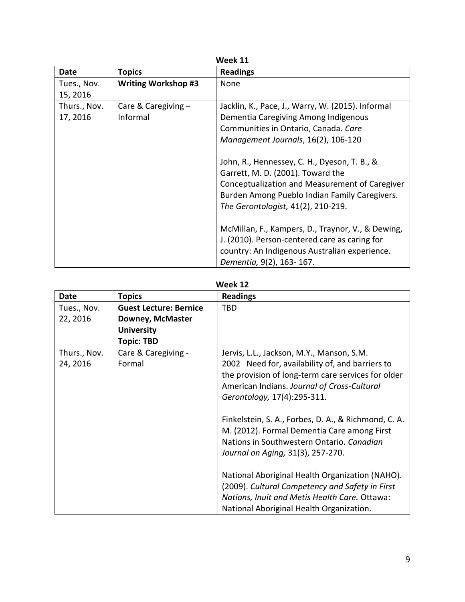| Week 11                  |                                   |                                                                                                                                                                                                                                                                                                                                                                                                        |  |
|--------------------------|-----------------------------------|--------------------------------------------------------------------------------------------------------------------------------------------------------------------------------------------------------------------------------------------------------------------------------------------------------------------------------------------------------------------------------------------------------|--|
| <b>Date</b>              | <b>Topics</b>                     | <b>Readings</b>                                                                                                                                                                                                                                                                                                                                                                                        |  |
| Tues., Nov.<br>15, 2016  | <b>Writing Workshop #3</b>        | None                                                                                                                                                                                                                                                                                                                                                                                                   |  |
| Thurs., Nov.<br>17, 2016 | Care & Caregiving $-$<br>Informal | Jacklin, K., Pace, J., Warry, W. (2015). Informal<br>Dementia Caregiving Among Indigenous<br>Communities in Ontario, Canada. Care<br>Management Journals, 16(2), 106-120<br>John, R., Hennessey, C. H., Dyeson, T. B., &<br>Garrett, M. D. (2001). Toward the<br>Conceptualization and Measurement of Caregiver<br>Burden Among Pueblo Indian Family Caregivers.<br>The Gerontologist, 41(2), 210-219. |  |
|                          |                                   | McMillan, F., Kampers, D., Traynor, V., & Dewing,<br>J. (2010). Person-centered care as caring for<br>country: An Indigenous Australian experience.<br>Dementia, 9(2), 163-167.                                                                                                                                                                                                                        |  |

| Wee | ж |  |
|-----|---|--|
|     |   |  |

| Week 12                  |                               |                                                                                                                                                                                                                                  |  |
|--------------------------|-------------------------------|----------------------------------------------------------------------------------------------------------------------------------------------------------------------------------------------------------------------------------|--|
| <b>Date</b>              | <b>Topics</b>                 | <b>Readings</b>                                                                                                                                                                                                                  |  |
| Tues., Nov.              | <b>Guest Lecture: Bernice</b> | TBD                                                                                                                                                                                                                              |  |
| 22, 2016                 | Downey, McMaster              |                                                                                                                                                                                                                                  |  |
|                          | <b>University</b>             |                                                                                                                                                                                                                                  |  |
|                          | <b>Topic: TBD</b>             |                                                                                                                                                                                                                                  |  |
| Thurs., Nov.<br>24, 2016 | Care & Caregiving -<br>Formal | Jervis, L.L., Jackson, M.Y., Manson, S.M.<br>2002 Need for, availability of, and barriers to<br>the provision of long-term care services for older<br>American Indians. Journal of Cross-Cultural<br>Gerontology, 17(4):295-311. |  |
|                          |                               | Finkelstein, S. A., Forbes, D. A., & Richmond, C. A.<br>M. (2012). Formal Dementia Care among First<br>Nations in Southwestern Ontario. Canadian<br>Journal on Aging, 31(3), 257-270.                                            |  |
|                          |                               | National Aboriginal Health Organization (NAHO).<br>(2009). Cultural Competency and Safety in First<br>Nations, Inuit and Metis Health Care. Ottawa:<br>National Aboriginal Health Organization.                                  |  |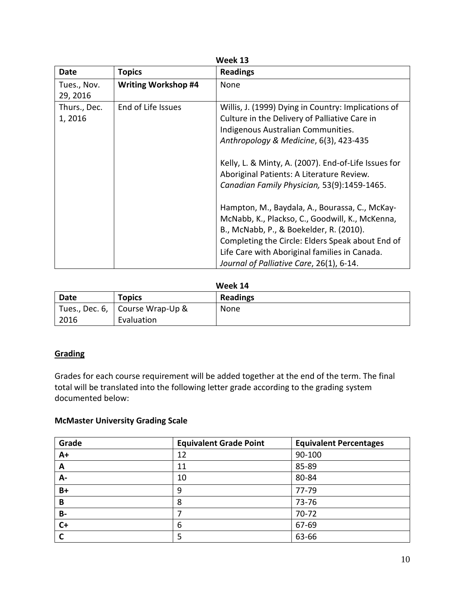| <b>Date</b><br><b>Readings</b><br><b>Topics</b>               |                                                                                                                                                                                                                                                                                                                                                                                                                                                                                                                                                                                                                                           |
|---------------------------------------------------------------|-------------------------------------------------------------------------------------------------------------------------------------------------------------------------------------------------------------------------------------------------------------------------------------------------------------------------------------------------------------------------------------------------------------------------------------------------------------------------------------------------------------------------------------------------------------------------------------------------------------------------------------------|
| <b>Writing Workshop #4</b><br>None<br>Tues., Nov.<br>29, 2016 |                                                                                                                                                                                                                                                                                                                                                                                                                                                                                                                                                                                                                                           |
| Thurs., Dec.<br>End of Life Issues<br>1,2016                  | Willis, J. (1999) Dying in Country: Implications of<br>Culture in the Delivery of Palliative Care in<br>Indigenous Australian Communities.<br>Anthropology & Medicine, 6(3), 423-435<br>Kelly, L. & Minty, A. (2007). End-of-Life Issues for<br>Aboriginal Patients: A Literature Review.<br>Canadian Family Physician, 53(9):1459-1465.<br>Hampton, M., Baydala, A., Bourassa, C., McKay-<br>McNabb, K., Plackso, C., Goodwill, K., McKenna,<br>B., McNabb, P., & Boekelder, R. (2010).<br>Completing the Circle: Elders Speak about End of<br>Life Care with Aboriginal families in Canada.<br>Journal of Palliative Care, 26(1), 6-14. |

| .    |                                   |                 |
|------|-----------------------------------|-----------------|
| Date | <b>Topics</b>                     | <b>Readings</b> |
|      | Tues., Dec. 6,   Course Wrap-Up & | None            |
| 2016 | Evaluation                        |                 |

# **Grading**

Grades for each course requirement will be added together at the end of the term. The final total will be translated into the following letter grade according to the grading system documented below:

# **McMaster University Grading Scale**

| Grade     | <b>Equivalent Grade Point</b> | <b>Equivalent Percentages</b> |
|-----------|-------------------------------|-------------------------------|
| $A+$      | 12                            | 90-100                        |
| A         | 11                            | 85-89                         |
| А-        | 10                            | 80-84                         |
| $B+$      | 9                             | 77-79                         |
| B         | 8                             | 73-76                         |
| <b>B-</b> |                               | $70 - 72$                     |
| $C+$      | 6                             | 67-69                         |
|           | 5                             | 63-66                         |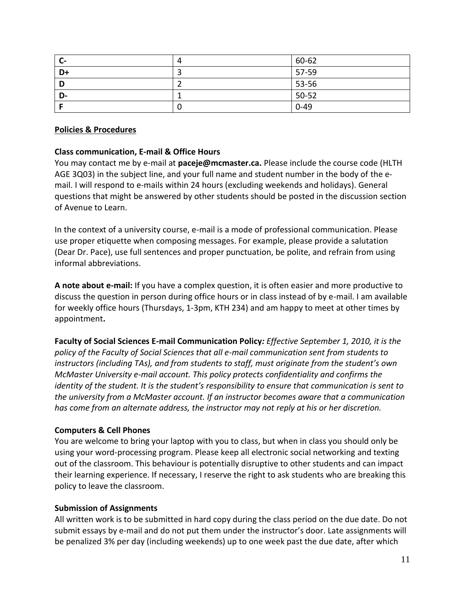| - C- | $\Delta$ | 60-62    |
|------|----------|----------|
| D+   |          | 57-59    |
| D    |          | 53-56    |
| D-   |          | $50-52$  |
|      | υ        | $0 - 49$ |

# **Policies & Procedures**

# **Class communication, E-mail & Office Hours**

You may contact me by e-mail at **paceje@mcmaster.ca.** Please include the course code (HLTH AGE 3Q03) in the subject line, and your full name and student number in the body of the email. I will respond to e-mails within 24 hours (excluding weekends and holidays). General questions that might be answered by other students should be posted in the discussion section of Avenue to Learn.

In the context of a university course, e-mail is a mode of professional communication. Please use proper etiquette when composing messages. For example, please provide a salutation (Dear Dr. Pace), use full sentences and proper punctuation, be polite, and refrain from using informal abbreviations.

**A note about e-mail:** If you have a complex question, it is often easier and more productive to discuss the question in person during office hours or in class instead of by e-mail. I am available for weekly office hours (Thursdays, 1-3pm, KTH 234) and am happy to meet at other times by appointment**.** 

**Faculty of Social Sciences E-mail Communication Policy***: Effective September 1, 2010, it is the policy of the Faculty of Social Sciences that all e-mail communication sent from students to instructors (including TAs), and from students to staff, must originate from the student's own McMaster University e-mail account. This policy protects confidentiality and confirms the identity of the student. It is the student's responsibility to ensure that communication is sent to the university from a McMaster account. If an instructor becomes aware that a communication has come from an alternate address, the instructor may not reply at his or her discretion.*

### **Computers & Cell Phones**

You are welcome to bring your laptop with you to class, but when in class you should only be using your word-processing program. Please keep all electronic social networking and texting out of the classroom. This behaviour is potentially disruptive to other students and can impact their learning experience. If necessary, I reserve the right to ask students who are breaking this policy to leave the classroom.

### **Submission of Assignments**

All written work is to be submitted in hard copy during the class period on the due date. Do not submit essays by e-mail and do not put them under the instructor's door. Late assignments will be penalized 3% per day (including weekends) up to one week past the due date, after which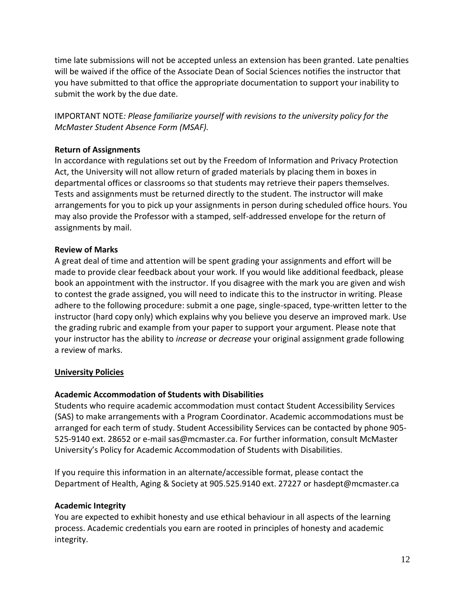time late submissions will not be accepted unless an extension has been granted. Late penalties will be waived if the office of the Associate Dean of Social Sciences notifies the instructor that you have submitted to that office the appropriate documentation to support your inability to submit the work by the due date.

IMPORTANT NOTE*: Please familiarize yourself with revisions to the university policy for the McMaster Student Absence Form (MSAF).*

### **Return of Assignments**

In accordance with regulations set out by the Freedom of Information and Privacy Protection Act, the University will not allow return of graded materials by placing them in boxes in departmental offices or classrooms so that students may retrieve their papers themselves. Tests and assignments must be returned directly to the student. The instructor will make arrangements for you to pick up your assignments in person during scheduled office hours. You may also provide the Professor with a stamped, self-addressed envelope for the return of assignments by mail.

### **Review of Marks**

A great deal of time and attention will be spent grading your assignments and effort will be made to provide clear feedback about your work. If you would like additional feedback, please book an appointment with the instructor. If you disagree with the mark you are given and wish to contest the grade assigned, you will need to indicate this to the instructor in writing. Please adhere to the following procedure: submit a one page, single-spaced, type-written letter to the instructor (hard copy only) which explains why you believe you deserve an improved mark. Use the grading rubric and example from your paper to support your argument. Please note that your instructor has the ability to *increase* or *decrease* your original assignment grade following a review of marks.

### **University Policies**

### **Academic Accommodation of Students with Disabilities**

Students who require academic accommodation must contact Student Accessibility Services (SAS) to make arrangements with a Program Coordinator. Academic accommodations must be arranged for each term of study. Student Accessibility Services can be contacted by phone 905- 525-9140 ext. 28652 or e-mail sas@mcmaster.ca. For further information, consult McMaster University's Policy for Academic Accommodation of Students with Disabilities.

If you require this information in an alternate/accessible format, please contact the Department of Health, Aging & Society at 905.525.9140 ext. 27227 or hasdept@mcmaster.ca

### **Academic Integrity**

You are expected to exhibit honesty and use ethical behaviour in all aspects of the learning process. Academic credentials you earn are rooted in principles of honesty and academic integrity.